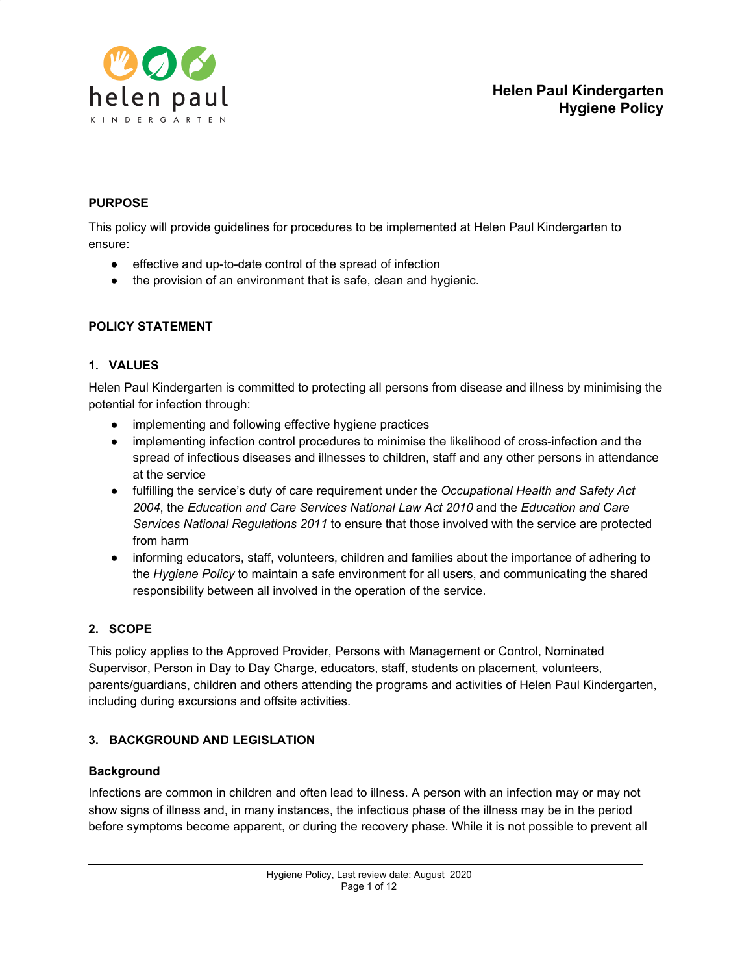

# **PURPOSE**

This policy will provide guidelines for procedures to be implemented at Helen Paul Kindergarten to ensure:

- effective and up-to-date control of the spread of infection
- the provision of an environment that is safe, clean and hygienic.

# **POLICY STATEMENT**

# **1. VALUES**

Helen Paul Kindergarten is committed to protecting all persons from disease and illness by minimising the potential for infection through:

- implementing and following effective hygiene practices
- implementing infection control procedures to minimise the likelihood of cross-infection and the spread of infectious diseases and illnesses to children, staff and any other persons in attendance at the service
- fulfilling the service's duty of care requirement under the *Occupational Health and Safety Act 2004*, the *Education and Care Services National Law Act 2010* and the *Education and Care Services National Regulations 2011* to ensure that those involved with the service are protected from harm
- informing educators, staff, volunteers, children and families about the importance of adhering to the *Hygiene Policy* to maintain a safe environment for all users, and communicating the shared responsibility between all involved in the operation of the service.

# **2. SCOPE**

This policy applies to the Approved Provider, Persons with Management or Control, Nominated Supervisor, Person in Day to Day Charge, educators, staff, students on placement, volunteers, parents/guardians, children and others attending the programs and activities of Helen Paul Kindergarten, including during excursions and offsite activities.

# **3. BACKGROUND AND LEGISLATION**

# **Background**

Infections are common in children and often lead to illness. A person with an infection may or may not show signs of illness and, in many instances, the infectious phase of the illness may be in the period before symptoms become apparent, or during the recovery phase. While it is not possible to prevent all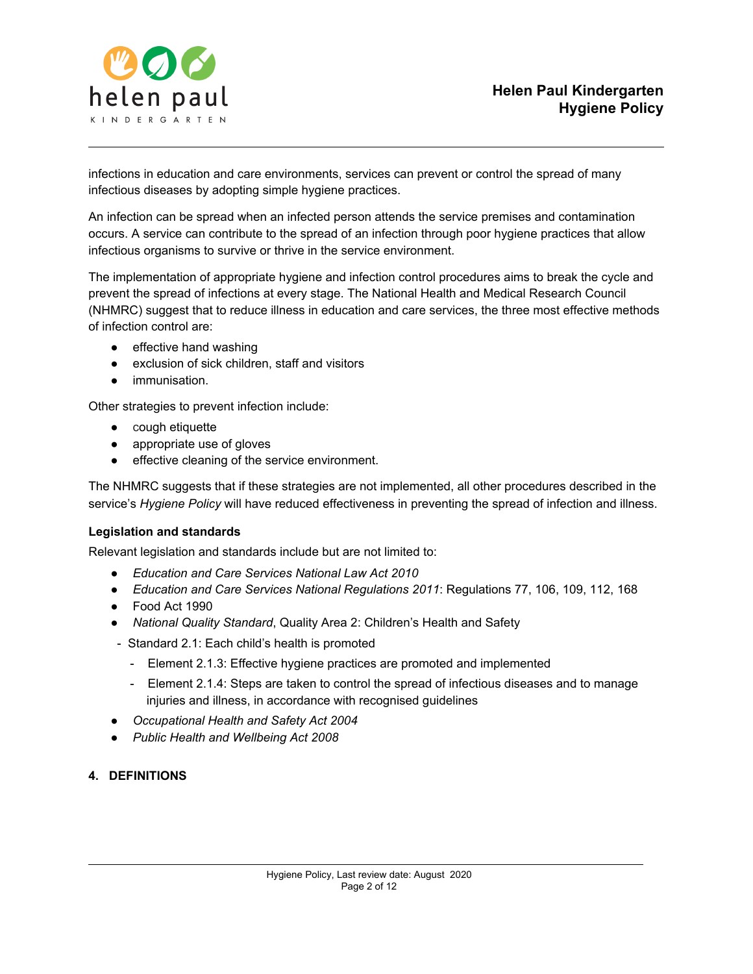

infections in education and care environments, services can prevent or control the spread of many infectious diseases by adopting simple hygiene practices.

An infection can be spread when an infected person attends the service premises and contamination occurs. A service can contribute to the spread of an infection through poor hygiene practices that allow infectious organisms to survive or thrive in the service environment.

The implementation of appropriate hygiene and infection control procedures aims to break the cycle and prevent the spread of infections at every stage. The National Health and Medical Research Council (NHMRC) suggest that to reduce illness in education and care services, the three most effective methods of infection control are:

- effective hand washing
- exclusion of sick children, staff and visitors
- immunisation.

Other strategies to prevent infection include:

- cough etiquette
- appropriate use of gloves
- effective cleaning of the service environment.

The NHMRC suggests that if these strategies are not implemented, all other procedures described in the service's *Hygiene Policy* will have reduced effectiveness in preventing the spread of infection and illness.

#### **Legislation and standards**

Relevant legislation and standards include but are not limited to:

- *● Education and Care Services National Law Act 2010*
- *● Education and Care Services National Regulations 2011*: Regulations 77, 106, 109, 112, 168
- *●* Food Act 1990
- *● National Quality Standard*, Quality Area 2: Children's Health and Safety
- Standard 2.1: Each child's health is promoted
	- Element 2.1.3: Effective hygiene practices are promoted and implemented
	- Element 2.1.4: Steps are taken to control the spread of infectious diseases and to manage injuries and illness, in accordance with recognised guidelines
- *● Occupational Health and Safety Act 2004*
- *● Public Health and Wellbeing Act 2008*

#### **4. DEFINITIONS**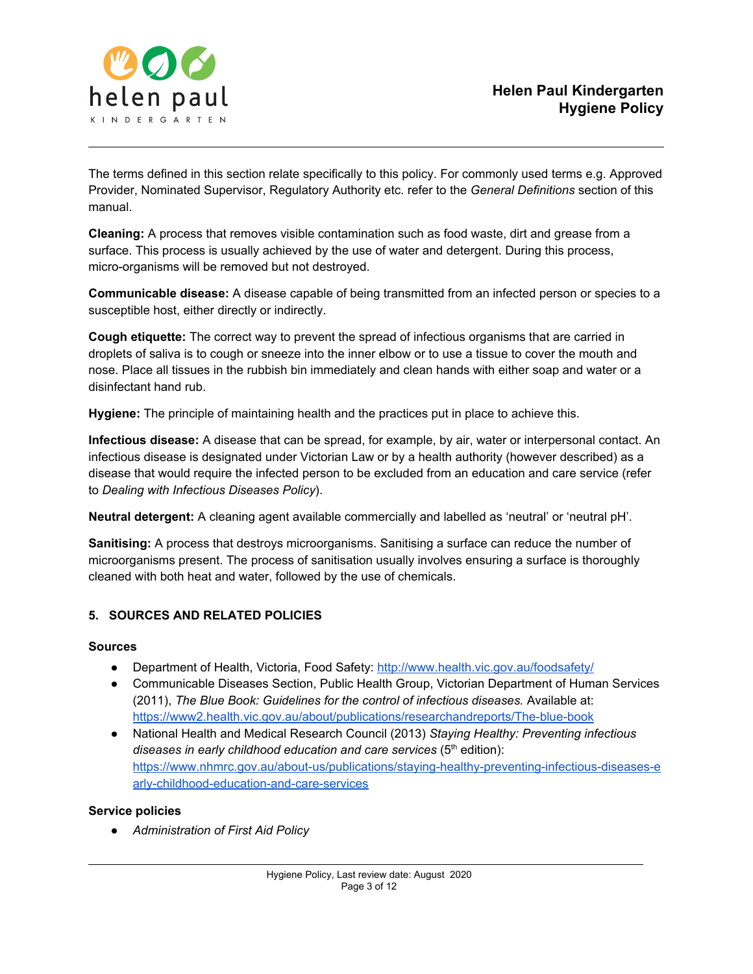

The terms defined in this section relate specifically to this policy. For commonly used terms e.g. Approved Provider, Nominated Supervisor, Regulatory Authority etc. refer to the *General Definitions* section of this manual.

**Cleaning:** A process that removes visible contamination such as food waste, dirt and grease from a surface. This process is usually achieved by the use of water and detergent. During this process, micro-organisms will be removed but not destroyed.

**Communicable disease:** A disease capable of being transmitted from an infected person or species to a susceptible host, either directly or indirectly.

**Cough etiquette:** The correct way to prevent the spread of infectious organisms that are carried in droplets of saliva is to cough or sneeze into the inner elbow or to use a tissue to cover the mouth and nose. Place all tissues in the rubbish bin immediately and clean hands with either soap and water or a disinfectant hand rub.

**Hygiene:** The principle of maintaining health and the practices put in place to achieve this.

**Infectious disease:** A disease that can be spread, for example, by air, water or interpersonal contact. An infectious disease is designated under Victorian Law or by a health authority (however described) as a disease that would require the infected person to be excluded from an education and care service (refer to *Dealing with Infectious Diseases Policy*).

**Neutral detergent:** A cleaning agent available commercially and labelled as 'neutral' or 'neutral pH'.

**Sanitising:** A process that destroys microorganisms. Sanitising a surface can reduce the number of microorganisms present. The process of sanitisation usually involves ensuring a surface is thoroughly cleaned with both heat and water, followed by the use of chemicals.

# **5. SOURCES AND RELATED POLICIES**

#### **Sources**

- Department of Health, Victoria, Food Safety[:](http://www.health.vic.gov.au/foodsafety/) <http://www.health.vic.gov.au/foodsafety/>
- Communicable Diseases Section, Public Health Group, Victorian Department of Human Services (2011), *The Blue Book: Guidelines for the control of infectious diseases.* Available at[:](https://www2.health.vic.gov.au/about/publications/researchandreports/The-blue-book) <https://www2.health.vic.gov.au/about/publications/researchandreports/The-blue-book>
- National Health and Medical Research Council (2013) *Staying Healthy: Preventing infectious diseases in early childhood education and care services* (5 th edition)[:](https://www.nhmrc.gov.au/about-us/publications/staying-healthy-preventing-infectious-diseases-early-childhood-education-and-care-services) [https://www.nhmrc.gov.au/about-us/publications/staying-healthy-preventing-infectious-diseases-e](https://www.nhmrc.gov.au/about-us/publications/staying-healthy-preventing-infectious-diseases-early-childhood-education-and-care-services) [arly-childhood-education-and-care-services](https://www.nhmrc.gov.au/about-us/publications/staying-healthy-preventing-infectious-diseases-early-childhood-education-and-care-services)

#### **Service policies**

*● Administration of First Aid Policy*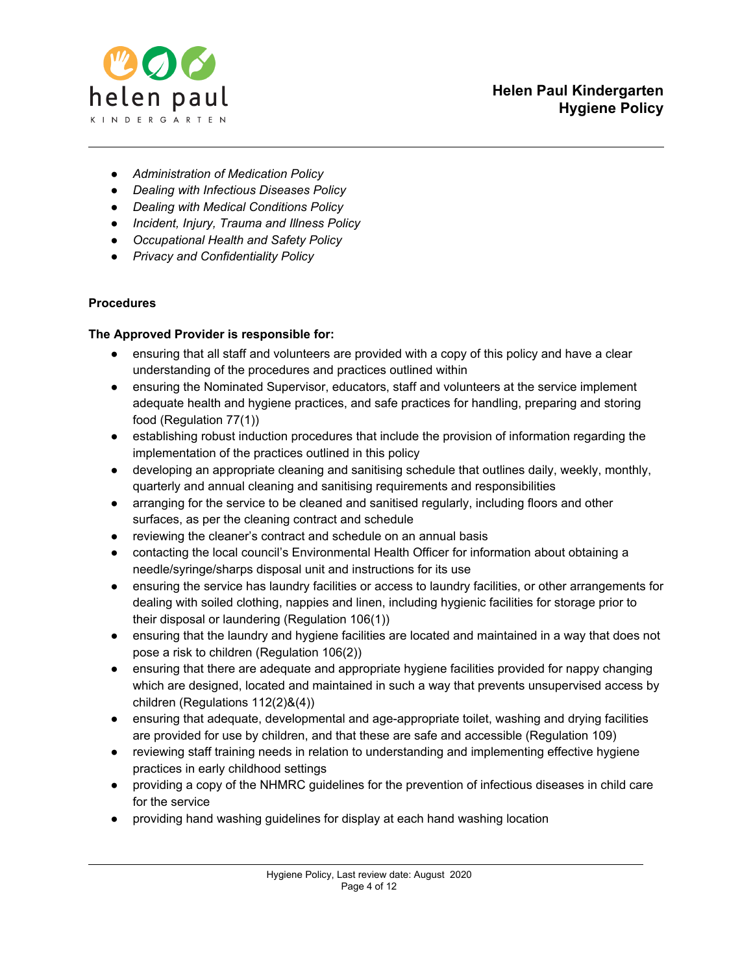

- *● Administration of Medication Policy*
- *● Dealing with Infectious Diseases Policy*
- *● Dealing with Medical Conditions Policy*
- *● Incident, Injury, Trauma and Illness Policy*
- *● Occupational Health and Safety Policy*
- *● Privacy and Confidentiality Policy*

## **Procedures**

## **The Approved Provider is responsible for:**

- ensuring that all staff and volunteers are provided with a copy of this policy and have a clear understanding of the procedures and practices outlined within
- ensuring the Nominated Supervisor, educators, staff and volunteers at the service implement adequate health and hygiene practices, and safe practices for handling, preparing and storing food (Regulation 77(1))
- establishing robust induction procedures that include the provision of information regarding the implementation of the practices outlined in this policy
- developing an appropriate cleaning and sanitising schedule that outlines daily, weekly, monthly, quarterly and annual cleaning and sanitising requirements and responsibilities
- arranging for the service to be cleaned and sanitised regularly, including floors and other surfaces, as per the cleaning contract and schedule
- reviewing the cleaner's contract and schedule on an annual basis
- contacting the local council's Environmental Health Officer for information about obtaining a needle/syringe/sharps disposal unit and instructions for its use
- ensuring the service has laundry facilities or access to laundry facilities, or other arrangements for dealing with soiled clothing, nappies and linen, including hygienic facilities for storage prior to their disposal or laundering (Regulation 106(1))
- ensuring that the laundry and hygiene facilities are located and maintained in a way that does not pose a risk to children (Regulation 106(2))
- ensuring that there are adequate and appropriate hygiene facilities provided for nappy changing which are designed, located and maintained in such a way that prevents unsupervised access by children (Regulations 112(2)&(4))
- ensuring that adequate, developmental and age-appropriate toilet, washing and drying facilities are provided for use by children, and that these are safe and accessible (Regulation 109)
- reviewing staff training needs in relation to understanding and implementing effective hygiene practices in early childhood settings
- providing a copy of the NHMRC guidelines for the prevention of infectious diseases in child care for the service
- providing hand washing guidelines for display at each hand washing location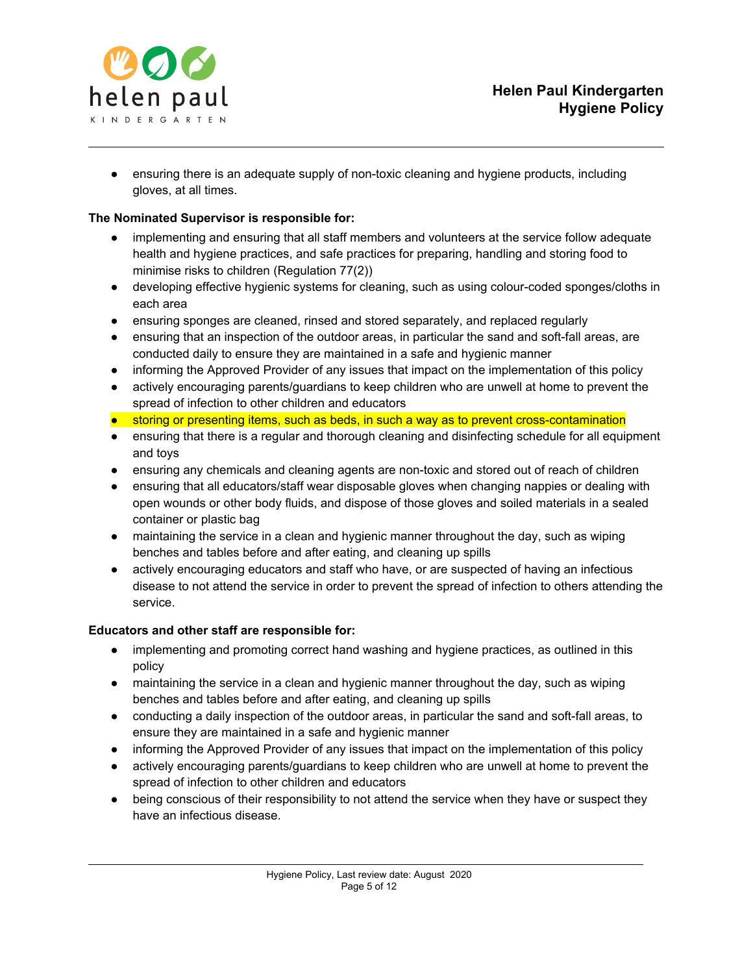

• ensuring there is an adequate supply of non-toxic cleaning and hygiene products, including gloves, at all times.

## **The Nominated Supervisor is responsible for:**

- implementing and ensuring that all staff members and volunteers at the service follow adequate health and hygiene practices, and safe practices for preparing, handling and storing food to minimise risks to children (Regulation 77(2))
- developing effective hygienic systems for cleaning, such as using colour-coded sponges/cloths in each area
- ensuring sponges are cleaned, rinsed and stored separately, and replaced regularly
- ensuring that an inspection of the outdoor areas, in particular the sand and soft-fall areas, are conducted daily to ensure they are maintained in a safe and hygienic manner
- informing the Approved Provider of any issues that impact on the implementation of this policy
- actively encouraging parents/guardians to keep children who are unwell at home to prevent the spread of infection to other children and educators
- storing or presenting items, such as beds, in such a way as to prevent cross-contamination
- ensuring that there is a regular and thorough cleaning and disinfecting schedule for all equipment and toys
- ensuring any chemicals and cleaning agents are non-toxic and stored out of reach of children
- ensuring that all educators/staff wear disposable gloves when changing nappies or dealing with open wounds or other body fluids, and dispose of those gloves and soiled materials in a sealed container or plastic bag
- maintaining the service in a clean and hygienic manner throughout the day, such as wiping benches and tables before and after eating, and cleaning up spills
- actively encouraging educators and staff who have, or are suspected of having an infectious disease to not attend the service in order to prevent the spread of infection to others attending the service.

#### **Educators and other staff are responsible for:**

- implementing and promoting correct hand washing and hygiene practices, as outlined in this policy
- maintaining the service in a clean and hygienic manner throughout the day, such as wiping benches and tables before and after eating, and cleaning up spills
- conducting a daily inspection of the outdoor areas, in particular the sand and soft-fall areas, to ensure they are maintained in a safe and hygienic manner
- informing the Approved Provider of any issues that impact on the implementation of this policy
- actively encouraging parents/guardians to keep children who are unwell at home to prevent the spread of infection to other children and educators
- being conscious of their responsibility to not attend the service when they have or suspect they have an infectious disease.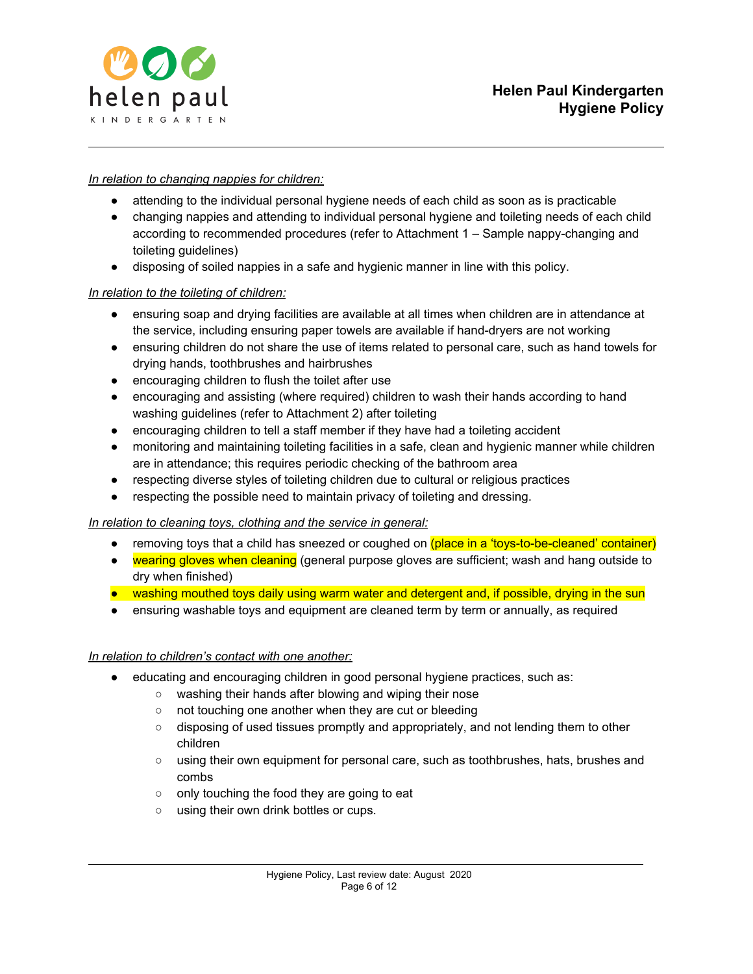

### *In relation to changing nappies for children:*

- attending to the individual personal hygiene needs of each child as soon as is practicable
- changing nappies and attending to individual personal hygiene and toileting needs of each child according to recommended procedures (refer to Attachment 1 – Sample nappy-changing and toileting guidelines)
- disposing of soiled nappies in a safe and hygienic manner in line with this policy.

#### *In relation to the toileting of children:*

- ensuring soap and drying facilities are available at all times when children are in attendance at the service, including ensuring paper towels are available if hand-dryers are not working
- ensuring children do not share the use of items related to personal care, such as hand towels for drying hands, toothbrushes and hairbrushes
- encouraging children to flush the toilet after use
- encouraging and assisting (where required) children to wash their hands according to hand washing guidelines (refer to Attachment 2) after toileting
- encouraging children to tell a staff member if they have had a toileting accident
- monitoring and maintaining toileting facilities in a safe, clean and hygienic manner while children are in attendance; this requires periodic checking of the bathroom area
- respecting diverse styles of toileting children due to cultural or religious practices
- respecting the possible need to maintain privacy of toileting and dressing.

#### *In relation to cleaning toys, clothing and the service in general:*

- removing toys that a child has sneezed or coughed on (place in a 'toys-to-be-cleaned' container)
- wearing gloves when cleaning (general purpose gloves are sufficient; wash and hang outside to dry when finished)
- washing mouthed toys daily using warm water and detergent and, if possible, drying in the sun
- ensuring washable toys and equipment are cleaned term by term or annually, as required

#### *In relation to children's contact with one another:*

- educating and encouraging children in good personal hygiene practices, such as:
	- washing their hands after blowing and wiping their nose
	- not touching one another when they are cut or bleeding
	- disposing of used tissues promptly and appropriately, and not lending them to other children
	- using their own equipment for personal care, such as toothbrushes, hats, brushes and combs
	- only touching the food they are going to eat
	- using their own drink bottles or cups.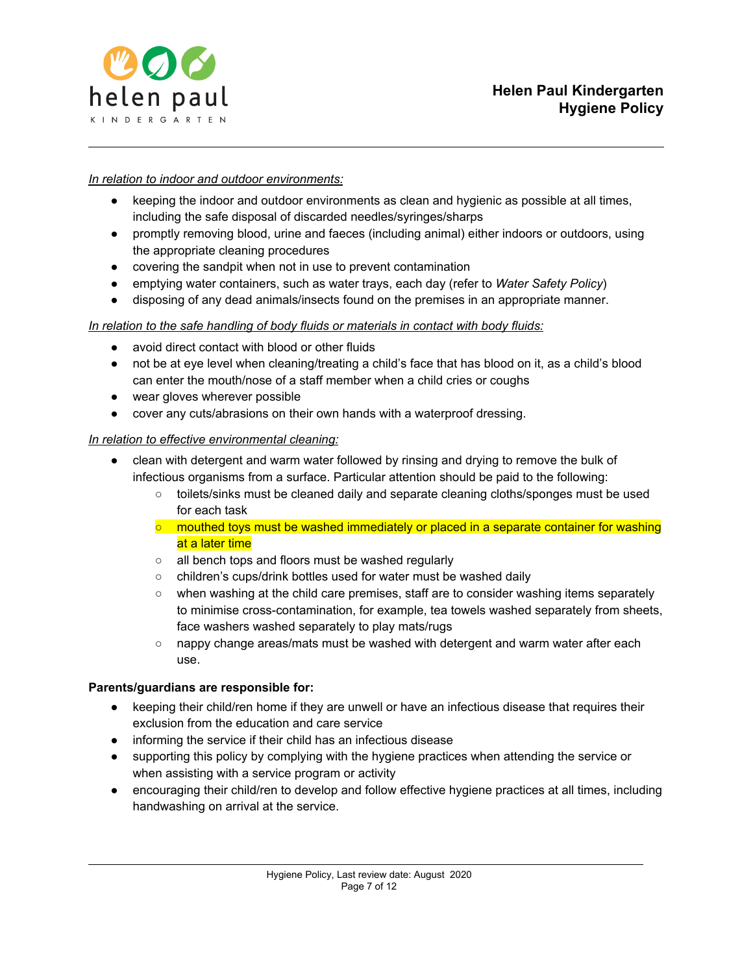

#### *In relation to indoor and outdoor environments:*

- keeping the indoor and outdoor environments as clean and hygienic as possible at all times, including the safe disposal of discarded needles/syringes/sharps
- promptly removing blood, urine and faeces (including animal) either indoors or outdoors, using the appropriate cleaning procedures
- covering the sandpit when not in use to prevent contamination
- emptying water containers, such as water trays, each day (refer to *Water Safety Policy*)
- disposing of any dead animals/insects found on the premises in an appropriate manner.

#### *In relation to the safe handling of body fluids or materials in contact with body fluids:*

- avoid direct contact with blood or other fluids
- not be at eye level when cleaning/treating a child's face that has blood on it, as a child's blood can enter the mouth/nose of a staff member when a child cries or coughs
- wear gloves wherever possible
- cover any cuts/abrasions on their own hands with a waterproof dressing.

#### *In relation to effective environmental cleaning:*

- clean with detergent and warm water followed by rinsing and drying to remove the bulk of infectious organisms from a surface. Particular attention should be paid to the following:
	- toilets/sinks must be cleaned daily and separate cleaning cloths/sponges must be used for each task
	- $\circ$  mouthed toys must be washed immediately or placed in a separate container for washing at a later time
	- all bench tops and floors must be washed regularly
	- children's cups/drink bottles used for water must be washed daily
	- when washing at the child care premises, staff are to consider washing items separately to minimise cross-contamination, for example, tea towels washed separately from sheets, face washers washed separately to play mats/rugs
	- nappy change areas/mats must be washed with detergent and warm water after each use.

#### **Parents/guardians are responsible for:**

- keeping their child/ren home if they are unwell or have an infectious disease that requires their exclusion from the education and care service
- informing the service if their child has an infectious disease
- supporting this policy by complying with the hygiene practices when attending the service or when assisting with a service program or activity
- encouraging their child/ren to develop and follow effective hygiene practices at all times, including handwashing on arrival at the service.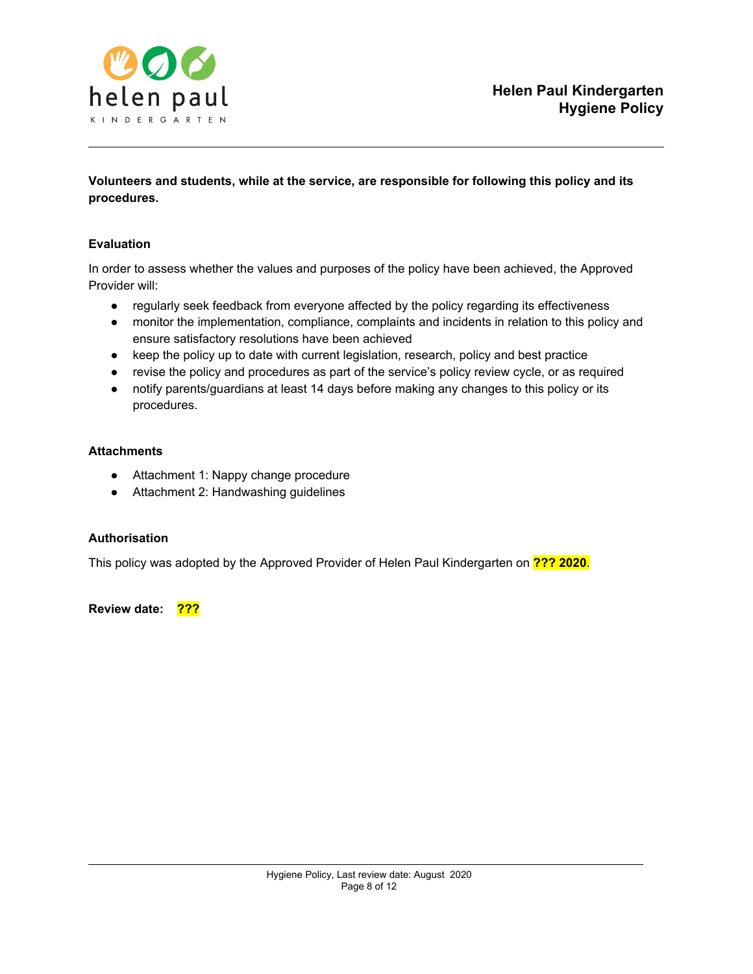

**Volunteers and students, while at the service, are responsible for following this policy and its procedures.**

#### **Evaluation**

In order to assess whether the values and purposes of the policy have been achieved, the Approved Provider will:

- regularly seek feedback from everyone affected by the policy regarding its effectiveness
- monitor the implementation, compliance, complaints and incidents in relation to this policy and ensure satisfactory resolutions have been achieved
- keep the policy up to date with current legislation, research, policy and best practice
- revise the policy and procedures as part of the service's policy review cycle, or as required
- notify parents/guardians at least 14 days before making any changes to this policy or its procedures.

#### **Attachments**

- Attachment 1: Nappy change procedure
- Attachment 2: Handwashing guidelines

## **Authorisation**

This policy was adopted by the Approved Provider of Helen Paul Kindergarten on **??? 2020**.

**Review date: ???**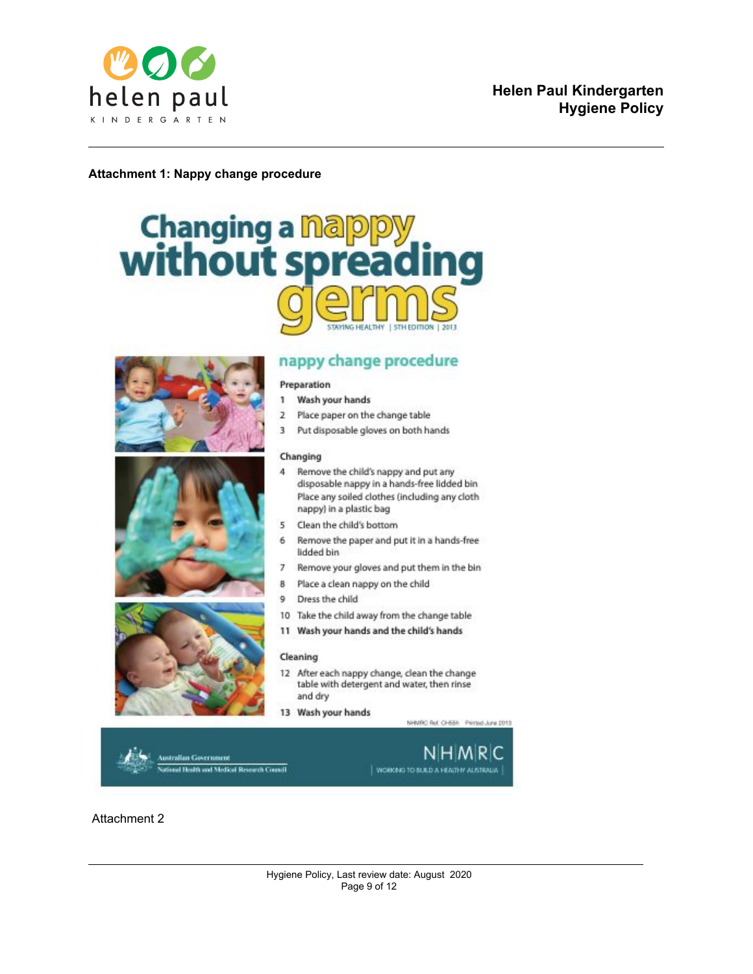

#### **Attachment 1: Nappy change procedure**

# **Changing a napppy<br>without spreading STAYING HEALTHY**







# nappy change procedure

#### Preparation

- Wash your hands 1
- $\overline{2}$ Place paper on the change table
- $\overline{3}$ Put disposable gloves on both hands

#### Changing

- $\overline{a}$ Remove the child's nappy and put any disposable nappy in a hands-free lidded bin Place any soiled clothes (including any cloth nappy) in a plastic bag
- $\overline{5}$ Clean the child's bottom
- 6 Remove the paper and put it in a hands-free lidded bin
- Remove your gloves and put them in the bin 7
- Place a clean nappy on the child 8
- q. Dress the child
- 10 Take the child away from the change table
- 11 Wash your hands and the child's hands

#### Cleaning

- 12 After each nappy change, clean the change table with detergent and water, then rinse and dry
- 13 Wash your hands

NHVRC Ret CH58h Pinted June 2013

stralian Government al Health and Medical Research Council



Attachment 2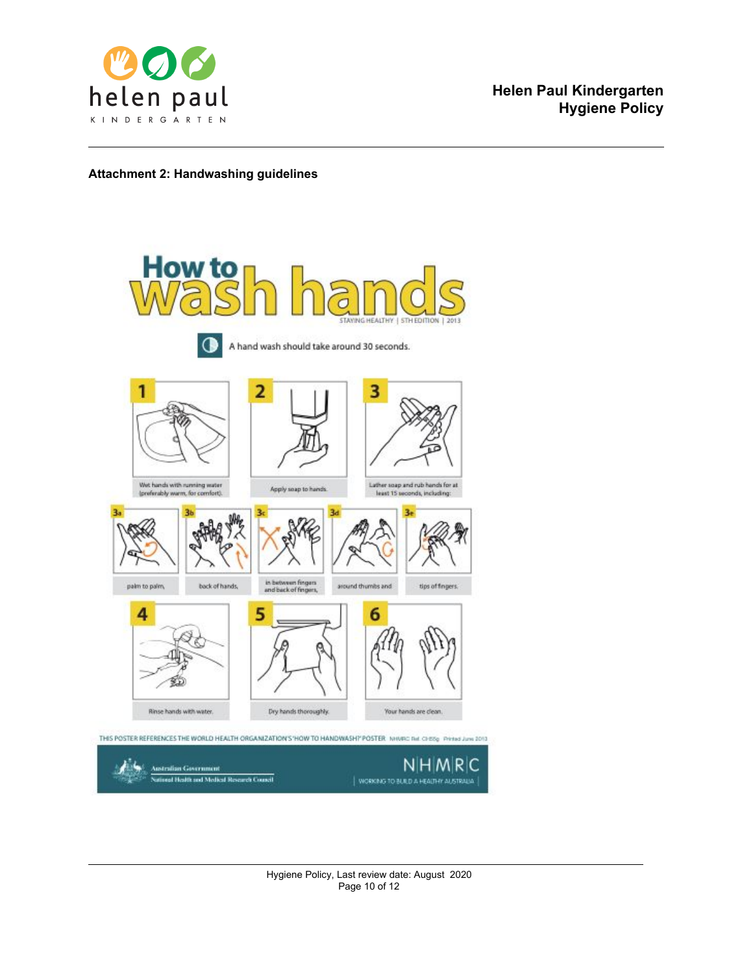

#### **Attachment 2: Handwashing guidelines**

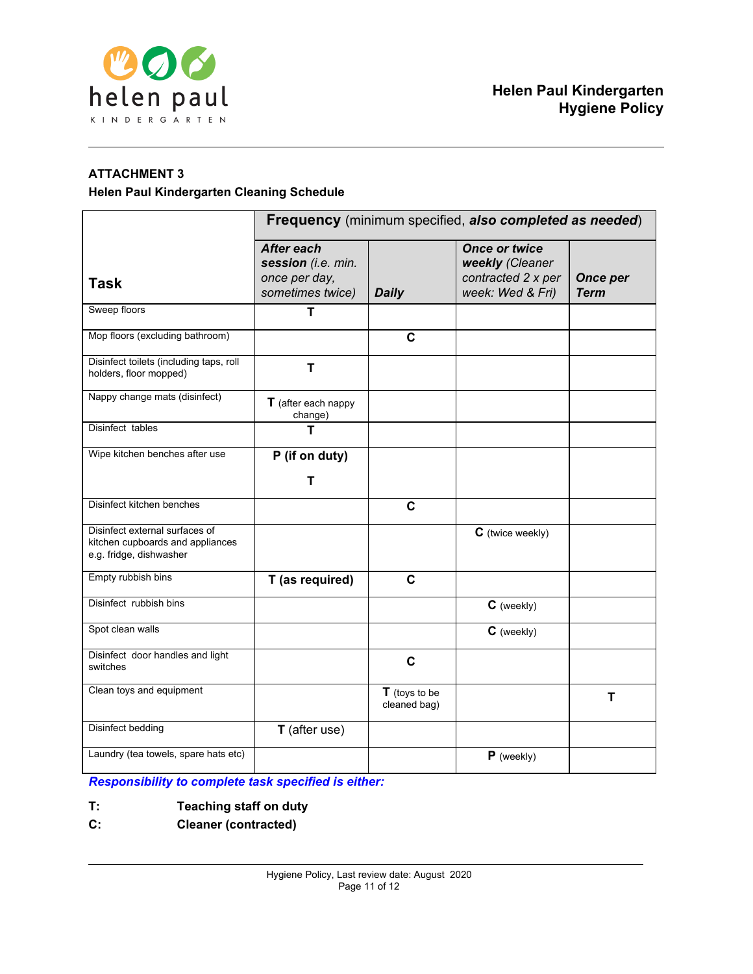

# **ATTACHMENT 3**

#### **Helen Paul Kindergarten Cleaning Schedule**

|                                                                                               | Frequency (minimum specified, also completed as needed)               |                                 |                                                                                   |                                |
|-----------------------------------------------------------------------------------------------|-----------------------------------------------------------------------|---------------------------------|-----------------------------------------------------------------------------------|--------------------------------|
| <b>Task</b>                                                                                   | After each<br>session (i.e. min.<br>once per day,<br>sometimes twice) | <b>Daily</b>                    | <b>Once or twice</b><br>weekly (Cleaner<br>contracted 2 x per<br>week: Wed & Fri) | <b>Once per</b><br><b>Term</b> |
| Sweep floors                                                                                  | T                                                                     |                                 |                                                                                   |                                |
| Mop floors (excluding bathroom)                                                               |                                                                       | C                               |                                                                                   |                                |
| Disinfect toilets (including taps, roll<br>holders, floor mopped)                             | т                                                                     |                                 |                                                                                   |                                |
| Nappy change mats (disinfect)                                                                 | $T$ (after each nappy<br>change)                                      |                                 |                                                                                   |                                |
| Disinfect tables                                                                              | т                                                                     |                                 |                                                                                   |                                |
| Wipe kitchen benches after use                                                                | P (if on duty)<br>т                                                   |                                 |                                                                                   |                                |
| Disinfect kitchen benches                                                                     |                                                                       | $\mathbf c$                     |                                                                                   |                                |
| Disinfect external surfaces of<br>kitchen cupboards and appliances<br>e.g. fridge, dishwasher |                                                                       |                                 | C (twice weekly)                                                                  |                                |
| Empty rubbish bins                                                                            | T (as required)                                                       | $\mathbf c$                     |                                                                                   |                                |
| Disinfect rubbish bins                                                                        |                                                                       |                                 | C (weekly)                                                                        |                                |
| Spot clean walls                                                                              |                                                                       |                                 | $C$ (weekly)                                                                      |                                |
| Disinfect door handles and light<br>switches                                                  |                                                                       | $\mathbf c$                     |                                                                                   |                                |
| Clean toys and equipment                                                                      |                                                                       | $T$ (toys to be<br>cleaned bag) |                                                                                   | T                              |
| <b>Disinfect bedding</b>                                                                      | <b>T</b> (after use)                                                  |                                 |                                                                                   |                                |
| Laundry (tea towels, spare hats etc)                                                          |                                                                       |                                 | $P$ (weekly)                                                                      |                                |

*Responsibility to complete task specified is either:*

- **T: Teaching staff on duty**
- **C: Cleaner (contracted)**